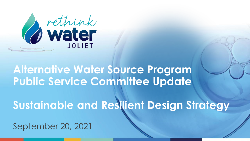

## **Alternative Water Source Program Public Service Committee Update**

**Sustainable and Resilient Design Strategy**

September 20, 2021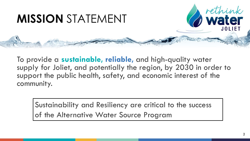

To provide a **sustainable, reliable,** and high-quality water supply for Joliet, and potentially the region, by 2030 in order to support the public health, safety, and economic interest of the community.

Sustainability and Resiliency are critical to the success of the Alternative Water Source Program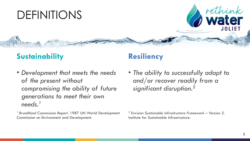## DEFINITIONS

### **Sustainability Resiliency**

- *Development that meets the needs of the present without compromising the ability of future generations to meet their own needs.<sup>1</sup>*
- <sup>1</sup>*Brundtland Commission Report.* 1987 UN World Development Commission on Environment and Development.

• *The ability to successfully adapt to and/or recover readily from a significant disruption.<sup>2</sup>*

<sup>2</sup> *Envision Sustainable Infrastructure Framework – Version 3.* Institute for Sustainable Infrastructure.

rethink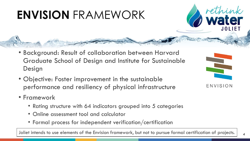# **ENVISION** FRAMEWORK

- Background: Result of collaboration between Harvard Graduate School of Design and Institute for Sustainable Design
- Objective: Foster improvement in the sustainable performance and resiliency of physical infrastructure
- Framework
	- Rating structure with 64 indicators grouped into 5 categories
	- Online assessment tool and calculator
	- Formal process for independent verification/certification

Joliet intends to use elements of the Envision framework, but not to pursue formal certification of projects.



rethink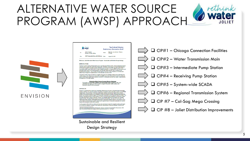## ALTERNATIVE WATER SOURCE PROGRAM (AWSP) APPROACH



### **Technical Memo** *A* water **Preliminary Discussion Draft** Matt Zick Joe Johnson The **Director of Public Utilities** AWSP Sustainability Memo 20210820.docx Date: **August 20, 2021**

oliet Alternative Water Source Program – Sustainable and Resilient Design Strategy

### **INTRODUCTION**

The City of Joliet's existing drinking water source, the deep groundwater aquifer, is being depleted and will no<br>longer be able to supply the needs of the City by 2000. Therefore, 3 years ago, the City of Joliet embarked<br>o community and the region both in terms of water quality and quantity. In January 2021, the City selected their<br>alternative water source as purchasing treated Lake Michigan Water from the City of Chicago via the Southwest Pump Station. Concurrently with that selection, the City of Joliet embarked on the Alternative Water Source Program for implementation of the new water source by 2030.

The purpose of this memo is to introduce program level goals and strategies related to the sustainable and resilient design of the infrastructure required for the AWSP and provide a framework for how the credits and<br>goals of the Envision system can be applied to the AWSP to help guide the planning, design, implementation and operation of the water system.

Alternative Water Source Program Mission Statement<br>To provide a sustainable, reliable, and high-quality water supply for Joliet, and potentially the region, by 2030 in order to support the public health, safety, and economic interest of the community

### **APPROACH**

ENVISION

Envision is a product of the Institute for Sustainable Infrastructure (ISI) and is a framework that enco systemic changes in the planning, design, and delivery of projects to yield sustainable, resilient, and equitable systems unauges in une paraming, nessign, anno unemergy or projects are years and more interesting to the interest of the American Public Works Institute<br>(APWA), the American Society of Civil Engineers (ASCE), the American and help project teams identify sustainable, resilient, and equitable approaches throughout the complete project life cycle, from planning and design to construction and operation, and even on to end of life. The Third Edition of the Envision: Sustainable Infrastructure Framework Guidance Manual<sup>1</sup> is the basis for much of the material contained herein, and for assessing the opportunities to incorporate sustainable and resilien features into all aspects of the AWSP projects

For the purpose of the AWSP, an initial workshop was conducted to review the complete system with regard<br>to the following categories: Quality of Life, Leadership, Natural World, Resource Allocation, and Risk and

<sup>1</sup> Envision Sustainable Infrastructure Framework. Version 3. Institute for Sustainable Infrastructure. 2018 ainableinfrastructure.org/wp-content/uploads/EnvisionV3.9.7.2018.pd

Sustainable and Resilient Design Strategy

 $\Box$  CIP#1 – Chicago Connection Facilities ❑ CIP#2 – Water Transmission Main ❑ CIP#3 – Intermediate Pump Station ❑ CIP#4 – Receiving Pump Station ❑ CIP#5 – System-wide SCADA  $\Box$  CIP#6 – Regional Transmission System ❑ CIP #7 – Cal-Sag Mega Crossing ❑ CIP #8 – Joliet Distribution Improvements

### 5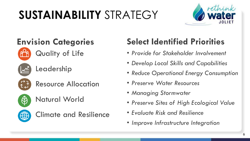# **SUSTAINABILITY** STRATEGY



Leadership



Quality of Life



Resource Allocation



Natural World



Climate and Resilience

### **Envision Categories Select Identified Priorities**

- *Provide for Stakeholder Involvement*
- *Develop Local Skills and Capabilities*
- *Reduce Operational Energy Consumption*
- *Preserve Water Resources*
- *Managing Stormwater*
- *Preserve Sites of High Ecological Value*
- *Evaluate Risk and Resilience*
- *Improve Infrastructure Integration*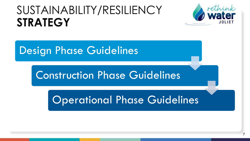## SUSTAINABILITY/RESILIENCY **STRATEGY**



Design Phase Guidelines

### Construction Phase Guidelines

## Operational Phase Guidelines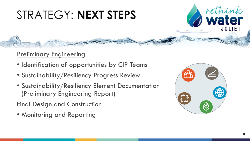# STRATEGY: **NEXT STEPS**

### Preliminary Engineering

- Identification of opportunities by CIP Teams
- Sustainability/Resiliency Progress Review
- Sustainability/Resiliency Element Documentation (Preliminary Engineering Report)

Final Design and Construction

• Monitoring and Reporting



rethink